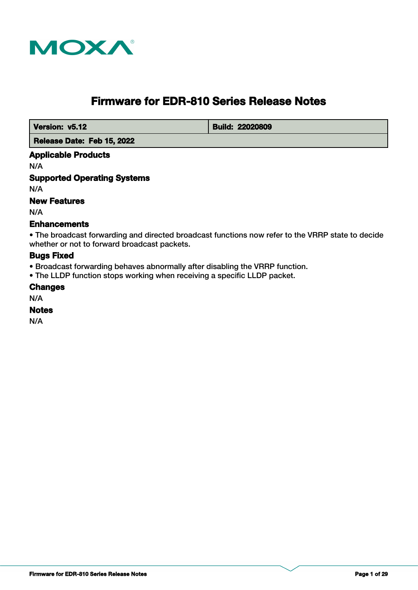

# **Firmware for EDR-810 Series Release Notes**

 **Version: v5.12 Build: 22020809** 

 **Release Date: Feb 15, 2022**

## **Applicable Products**

N/A

## **Supported Operating Systems**

N/A

## **New Features**

N/A

## **Enhancements**

• The broadcast forwarding and directed broadcast functions now refer to the VRRP state to decide whether or not to forward broadcast packets.

## **Bugs Fixed**

- Broadcast forwarding behaves abnormally after disabling the VRRP function.
- The LLDP function stops working when receiving a specific LLDP packet.

#### **Changes**

N/A

#### **Notes**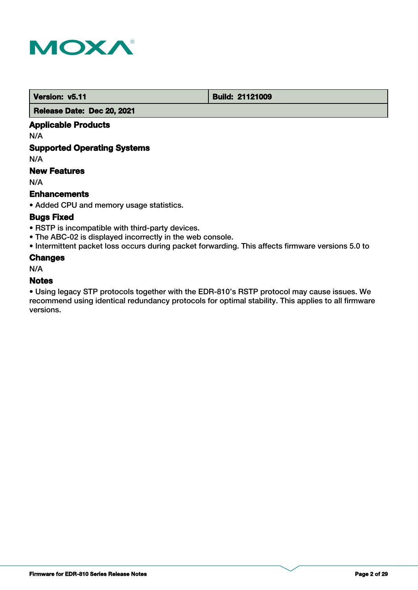

 **Version: v5.11 Build: 21121009** 

 **Release Date: Dec 20, 2021**

## **Applicable Products**

N/A

## **Supported Operating Systems**

N/A

## **New Features**

N/A

## **Enhancements**

• Added CPU and memory usage statistics.

## **Bugs Fixed**

- RSTP is incompatible with third-party devices.
- The ABC-02 is displayed incorrectly in the web console.
- Intermittent packet loss occurs during packet forwarding. This affects firmware versions 5.0 to

## **Changes**

N/A

## **Notes**

• Using legacy STP protocols together with the EDR-810's RSTP protocol may cause issues. We recommend using identical redundancy protocols for optimal stability. This applies to all firmware versions.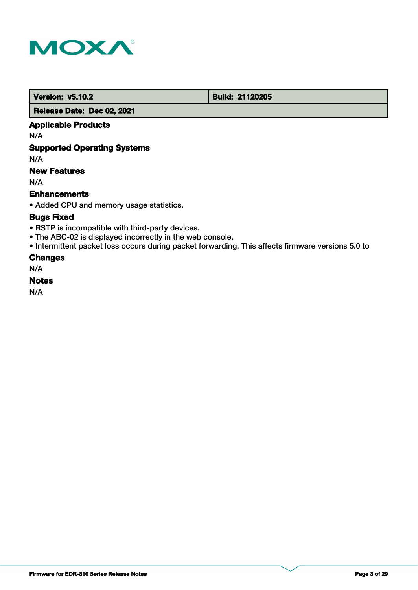

 **Version: v5.10.2 Build: 21120205** 

 **Release Date: Dec 02, 2021**

## **Applicable Products**

N/A

## **Supported Operating Systems**

N/A

## **New Features**

N/A

## **Enhancements**

• Added CPU and memory usage statistics.

## **Bugs Fixed**

- RSTP is incompatible with third-party devices.
- The ABC-02 is displayed incorrectly in the web console.
- Intermittent packet loss occurs during packet forwarding. This affects firmware versions 5.0 to

## **Changes**

N/A

## **Notes**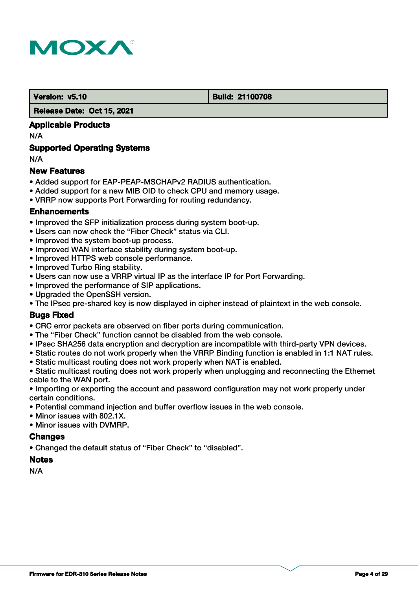

#### **Version: v5.10 Build: 21100708**

#### **Release Date: Oct 15, 2021**

## **Applicable Products**

N/A

## **Supported Operating Systems**

N/A

## **New Features**

- Added support for EAP-PEAP-MSCHAPv2 RADIUS authentication.
- Added support for a new MIB OID to check CPU and memory usage.
- VRRP now supports Port Forwarding for routing redundancy.

## **Enhancements**

- Improved the SFP initialization process during system boot-up.
- Users can now check the "Fiber Check" status via CLI.
- Improved the system boot-up process.
- Improved WAN interface stability during system boot-up.
- Improved HTTPS web console performance.
- Improved Turbo Ring stability.
- Users can now use a VRRP virtual IP as the interface IP for Port Forwarding.
- Improved the performance of SIP applications.
- Upgraded the OpenSSH version.
- The IPsec pre-shared key is now displayed in cipher instead of plaintext in the web console.

## **Bugs Fixed**

- CRC error packets are observed on fiber ports during communication.
- The "Fiber Check" function cannot be disabled from the web console.
- IPsec SHA256 data encryption and decryption are incompatible with third-party VPN devices.
- Static routes do not work properly when the VRRP Binding function is enabled in 1:1 NAT rules.
- Static multicast routing does not work properly when NAT is enabled.
- Static multicast routing does not work properly when unplugging and reconnecting the Ethernet cable to the WAN port.
- Importing or exporting the account and password configuration may not work properly under certain conditions.
- Potential command injection and buffer overflow issues in the web console.
- Minor issues with 802.1X.
- Minor issues with DVMRP.

## **Changes**

• Changed the default status of "Fiber Check" to "disabled".

## **Notes**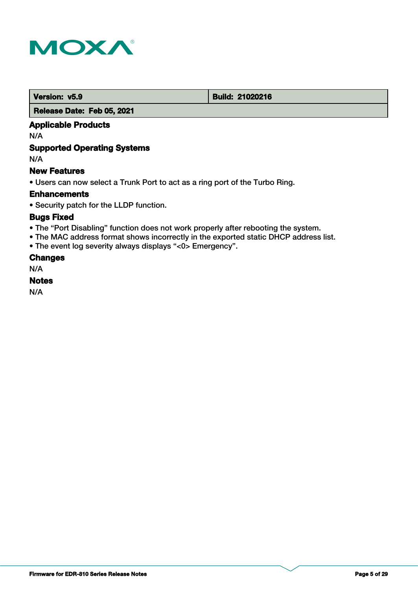

**Version: v5.9 Build: 21020216** 

 **Release Date: Feb 05, 2021**

## **Applicable Products**

N/A

## **Supported Operating Systems**

N/A

## **New Features**

• Users can now select a Trunk Port to act as a ring port of the Turbo Ring.

## **Enhancements**

• Security patch for the LLDP function.

## **Bugs Fixed**

- The "Port Disabling" function does not work properly after rebooting the system.
- The MAC address format shows incorrectly in the exported static DHCP address list.
- The event log severity always displays "<0> Emergency".

## **Changes**

N/A

#### **Notes**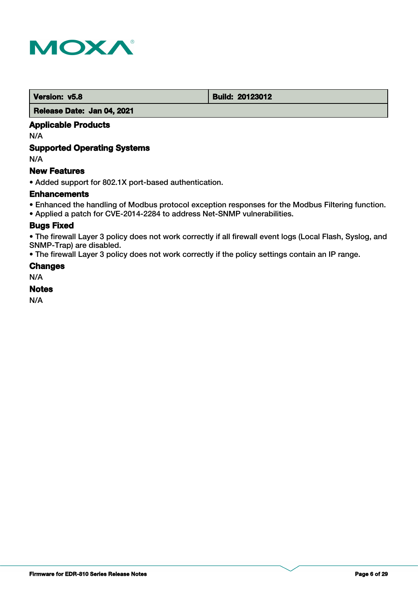

 **Version: v5.8 Build: 20123012** 

#### **Release Date: Jan 04, 2021**

## **Applicable Products**

N/A

## **Supported Operating Systems**

N/A

## **New Features**

• Added support for 802.1X port-based authentication.

## **Enhancements**

- Enhanced the handling of Modbus protocol exception responses for the Modbus Filtering function.
- Applied a patch for CVE-2014-2284 to address Net-SNMP vulnerabilities.

## **Bugs Fixed**

• The firewall Layer 3 policy does not work correctly if all firewall event logs (Local Flash, Syslog, and SNMP-Trap) are disabled.

• The firewall Layer 3 policy does not work correctly if the policy settings contain an IP range.

## **Changes**

N/A

## **Notes**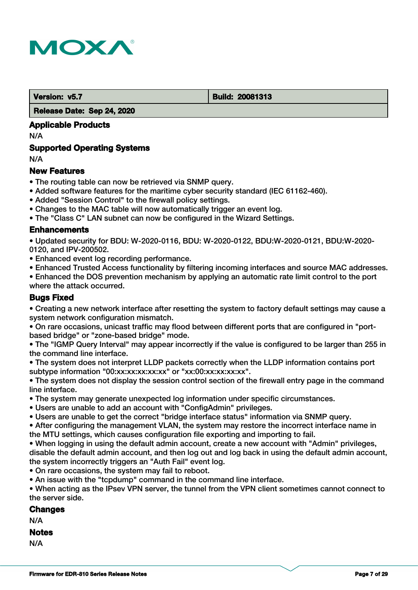

 **Version: v5.7 Build: 20081313** 

 **Release Date: Sep 24, 2020**

## **Applicable Products**

N/A

## **Supported Operating Systems**

N/A

## **New Features**

- The routing table can now be retrieved via SNMP query.
- Added software features for the maritime cyber security standard (IEC 61162-460).
- Added "Session Control" to the firewall policy settings.
- Changes to the MAC table will now automatically trigger an event log.
- The "Class C" LAN subnet can now be configured in the Wizard Settings.

## **Enhancements**

• Updated security for BDU: W-2020-0116, BDU: W-2020-0122, BDU:W-2020-0121, BDU:W-2020- 0120, and IPV-200502.

- Enhanced event log recording performance.
- Enhanced Trusted Access functionality by filtering incoming interfaces and source MAC addresses.
- Enhanced the DOS prevention mechanism by applying an automatic rate limit control to the port where the attack occurred.

## **Bugs Fixed**

• Creating a new network interface after resetting the system to factory default settings may cause a system network configuration mismatch.

• On rare occasions, unicast traffic may flood between different ports that are configured in "portbased bridge" or "zone-based bridge" mode.

• The "IGMP Query Interval" may appear incorrectly if the value is configured to be larger than 255 in the command line interface.

• The system does not interpret LLDP packets correctly when the LLDP information contains port subtype information "00:xx:xx:xx:xx:xx" or "xx:00:xx:xx:xx:xx".

• The system does not display the session control section of the firewall entry page in the command line interface.

- The system may generate unexpected log information under specific circumstances.
- Users are unable to add an account with "ConfigAdmin" privileges.
- Users are unable to get the correct "bridge interface status" information via SNMP query.

• After configuring the management VLAN, the system may restore the incorrect interface name in the MTU settings, which causes configuration file exporting and importing to fail.

- When logging in using the default admin account, create a new account with "Admin" privileges, disable the default admin account, and then log out and log back in using the default admin account, the system incorrectly triggers an "Auth Fail" event log.
- On rare occasions, the system may fail to reboot.
- An issue with the "tcpdump" command in the command line interface.

• When acting as the IPsev VPN server, the tunnel from the VPN client sometimes cannot connect to the server side.

## **Changes**

N/A

## **Notes**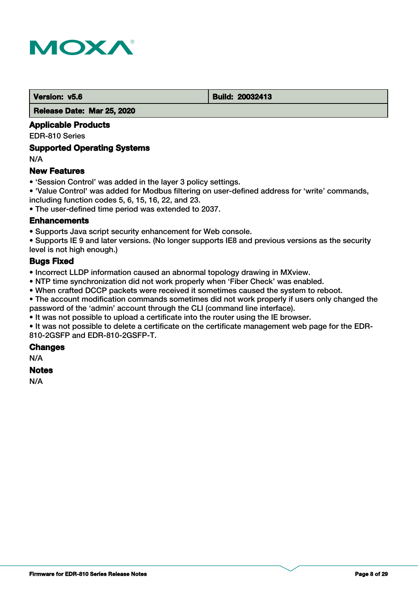

#### **Version: v5.6 Build: 20032413**

 **Release Date: Mar 25, 2020**

## **Applicable Products**

EDR-810 Series

### **Supported Operating Systems**

N/A

## **New Features**

- 'Session Control' was added in the layer 3 policy settings.
- 'Value Control' was added for Modbus filtering on user-defined address for 'write' commands, including function codes 5, 6, 15, 16, 22, and 23.

• The user-defined time period was extended to 2037.

#### **Enhancements**

• Supports Java script security enhancement for Web console.

• Supports IE 9 and later versions. (No longer supports IE8 and previous versions as the security level is not high enough.)

## **Bugs Fixed**

• Incorrect LLDP information caused an abnormal topology drawing in MXview.

- NTP time synchronization did not work properly when 'Fiber Check' was enabled.
- When crafted DCCP packets were received it sometimes caused the system to reboot.

• The account modification commands sometimes did not work properly if users only changed the password of the 'admin' account through the CLI (command line interface).

• It was not possible to upload a certificate into the router using the IE browser.

• It was not possible to delete a certificate on the certificate management web page for the EDR-810-2GSFP and EDR-810-2GSFP-T.

#### **Changes**

N/A

#### **Notes**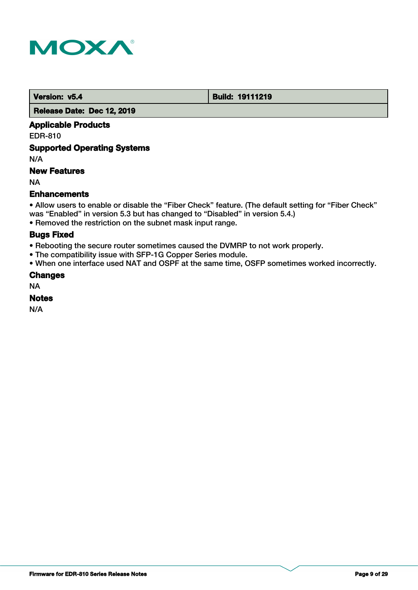

 **Version: v5.4 Build: 19111219** 

 **Release Date: Dec 12, 2019**

## **Applicable Products**

EDR-810

## **Supported Operating Systems**

N/A

## **New Features**

NA

## **Enhancements**

• Allow users to enable or disable the "Fiber Check" feature. (The default setting for "Fiber Check" was "Enabled" in version 5.3 but has changed to "Disabled" in version 5.4.)

• Removed the restriction on the subnet mask input range.

## **Bugs Fixed**

- Rebooting the secure router sometimes caused the DVMRP to not work properly.
- The compatibility issue with SFP-1G Copper Series module.
- When one interface used NAT and OSPF at the same time, OSFP sometimes worked incorrectly.

## **Changes**

NA

## **Notes**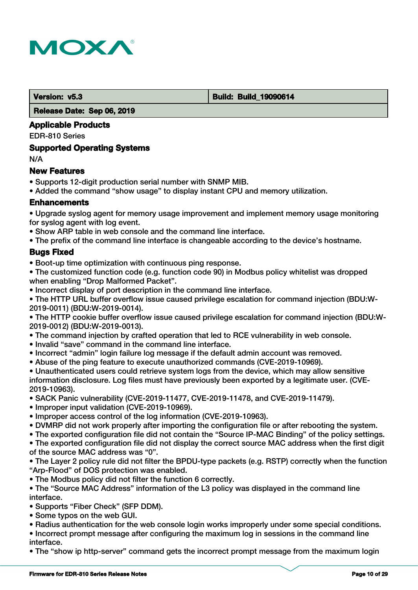

 **Version: v5.3 Build: Build: Build: 19090614** 

 **Release Date: Sep 06, 2019**

## **Applicable Products**

EDR-810 Series

## **Supported Operating Systems**

N/A

## **New Features**

- Supports 12-digit production serial number with SNMP MIB.
- Added the command "show usage" to display instant CPU and memory utilization.

## **Enhancements**

• Upgrade syslog agent for memory usage improvement and implement memory usage monitoring for syslog agent with log event.

- Show ARP table in web console and the command line interface.
- The prefix of the command line interface is changeable according to the device's hostname.

## **Bugs Fixed**

- Boot-up time optimization with continuous ping response.
- The customized function code (e.g. function code 90) in Modbus policy whitelist was dropped when enabling "Drop Malformed Packet".
- Incorrect display of port description in the command line interface.

• The HTTP URL buffer overflow issue caused privilege escalation for command injection (BDU:W-2019-0011) (BDU:W-2019-0014).

• The HTTP cookie buffer overflow issue caused privilege escalation for command injection (BDU:W-2019-0012) (BDU:W-2019-0013).

- The command injection by crafted operation that led to RCE vulnerability in web console.
- Invalid "save" command in the command line interface.
- Incorrect "admin" login failure log message if the default admin account was removed.
- Abuse of the ping feature to execute unauthorized commands (CVE-2019-10969).
- Unauthenticated users could retrieve system logs from the device, which may allow sensitive information disclosure. Log files must have previously been exported by a legitimate user. (CVE-2019-10963).
- SACK Panic vulnerability (CVE-2019-11477, CVE-2019-11478, and CVE-2019-11479).
- Improper input validation (CVE-2019-10969).
- Improper access control of the log information (CVE-2019-10963).
- DVMRP did not work properly after importing the configuration file or after rebooting the system.
- The exported configuration file did not contain the "Source IP-MAC Binding" of the policy settings.

• The exported configuration file did not display the correct source MAC address when the first digit of the source MAC address was "0".

• The Layer 2 policy rule did not filter the BPDU-type packets (e.g. RSTP) correctly when the function "Arp-Flood" of DOS protection was enabled.

• The Modbus policy did not filter the function 6 correctly.

• The "Source MAC Address" information of the L3 policy was displayed in the command line interface.

• Supports "Fiber Check" (SFP DDM).

- Some typos on the web GUI.
- Radius authentication for the web console login works improperly under some special conditions.

• Incorrect prompt message after configuring the maximum log in sessions in the command line interface.

• The "show ip http-server" command gets the incorrect prompt message from the maximum login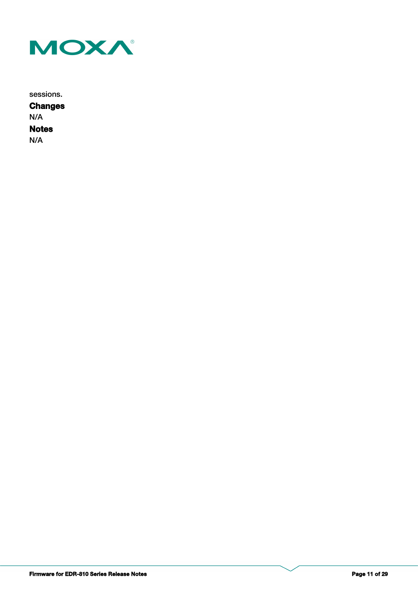

sessions.

**Notes Changes** N/A N/A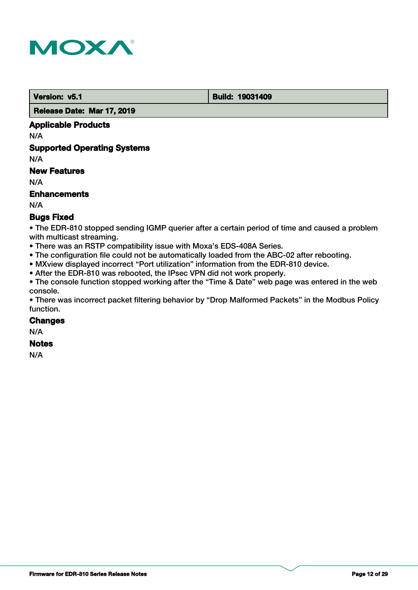

 **Version: v5.1 Build: 19031409** 

 **Release Date: Mar 17, 2019**

## **Applicable Products**

N/A

## **Supported Operating Systems**

N/A

## **New Features**

N/A

## **Enhancements**

N/A

## **Bugs Fixed**

• The EDR-810 stopped sending IGMP querier after a certain period of time and caused a problem with multicast streaming.

- There was an RSTP compatibility issue with Moxa's EDS-408A Series.
- The configuration file could not be automatically loaded from the ABC-02 after rebooting.
- MXview displayed incorrect "Port utilization" information from the EDR-810 device.
- After the EDR-810 was rebooted, the IPsec VPN did not work properly.

• The console function stopped working after the "Time & Date" web page was entered in the web console.

• There was incorrect packet filtering behavior by "Drop Malformed Packets" in the Modbus Policy function.

#### **Changes**

N/A

#### **Notes**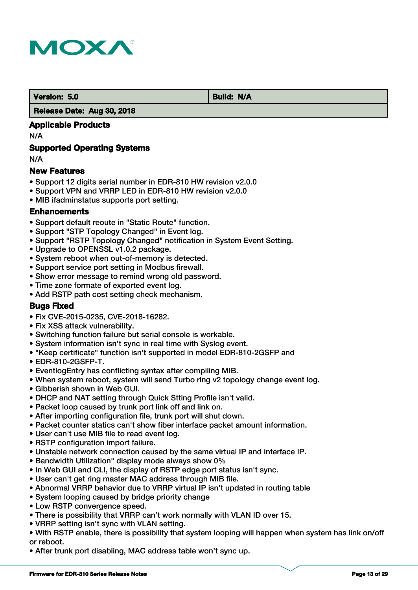

**Version: 5.0 Build: N/A** 

#### **Release Date: Aug 30, 2018**

## **Applicable Products**

N/A

## **Supported Operating Systems**

N/A

## **New Features**

- Support 12 digits serial number in EDR-810 HW revision v2.0.0
- Support VPN and VRRP LED in EDR-810 HW revision v2.0.0
- MIB ifadminstatus supports port setting.

## **Enhancements**

- Support default reoute in "Static Route" function.
- Support "STP Topology Changed" in Event log.
- Support "RSTP Topology Changed" notification in System Event Setting.
- Upgrade to OPENSSL v1.0.2 package.
- System reboot when out-of-memory is detected.
- Support service port setting in Modbus firewall.
- Show error message to remind wrong old password.
- Time zone formate of exported event log.
- Add RSTP path cost setting check mechanism.

## **Bugs Fixed**

- Fix CVE-2015-0235, CVE-2018-16282.
- Fix XSS attack vulnerability.
- Switching function failure but serial console is workable.
- System information isn't sync in real time with Syslog event.
- "Keep certificate" function isn't supported in model EDR-810-2GSFP and
- EDR-810-2GSFP-T.
- EventlogEntry has conflicting syntax after compiling MIB.
- When system reboot, system will send Turbo ring v2 topology change event log.
- Gibberish shown in Web GUI.
- DHCP and NAT setting through Quick Stting Profile isn't valid.
- Packet loop caused by trunk port link off and link on.
- After importing configuration file, trunk port will shut down.
- Packet counter statics can't show fiber interface packet amount information.
- User can't use MIB file to read event log.
- RSTP configuration import failure.
- Unstable network connection caused by the same virtual IP and interface IP.
- Bandwidth Utilization" display mode always show 0%
- In Web GUI and CLI, the display of RSTP edge port status isn't sync.
- User can't get ring master MAC address through MIB file.
- Abnormal VRRP behavior due to VRRP virtual IP isn't updated in routing table
- System looping caused by bridge priority change
- Low RSTP convergence speed.
- There is possibility that VRRP can't work normally with VLAN ID over 15.
- VRRP setting isn't sync with VLAN setting.
- With RSTP enable, there is possibility that system looping will happen when system has link on/off or reboot.
- After trunk port disabling, MAC address table won't sync up.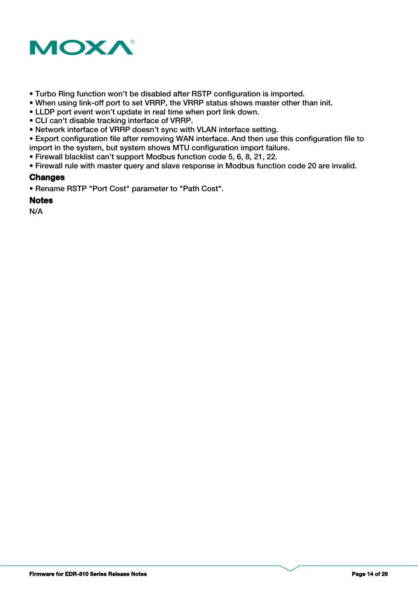

- Turbo Ring function won't be disabled after RSTP configuration is imported.
- When using link-off port to set VRRP, the VRRP status shows master other than init.
- LLDP port event won't update in real time when port link down.
- CLI can't disable tracking interface of VRRP.
- Network interface of VRRP doesn't sync with VLAN interface setting.
- Export configuration file after removing WAN interface. And then use this configuration file to import in the system, but system shows MTU configuration import failure.
- Firewall blacklist can't support Modbus function code 5, 6, 8, 21, 22.
- Firewall rule with master query and slave response in Modbus function code 20 are invalid.

## **Changes**

• Rename RSTP "Port Cost" parameter to "Path Cost".

## **Notes**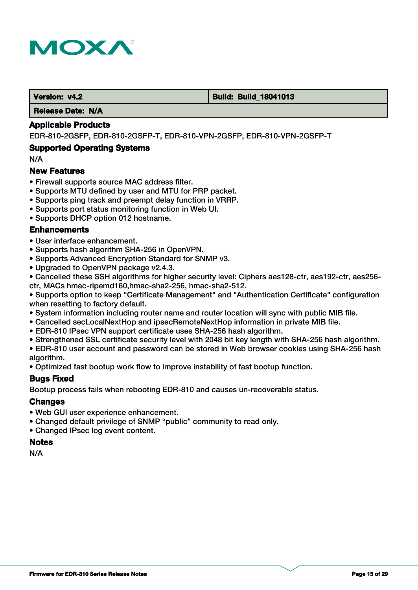

#### **Version: v4.2 Build: Build: Build: 18041013**

 **Release Date: N/A**

#### **Applicable Products**

EDR-810-2GSFP, EDR-810-2GSFP-T, EDR-810-VPN-2GSFP, EDR-810-VPN-2GSFP-T

#### **Supported Operating Systems**

N/A

#### **New Features**

- Firewall supports source MAC address filter.
- Supports MTU defined by user and MTU for PRP packet.
- Supports ping track and preempt delay function in VRRP.
- Supports port status monitoring function in Web UI.
- Supports DHCP option 012 hostname.

#### **Enhancements**

- User interface enhancement.
- Supports hash algorithm SHA-256 in OpenVPN.
- Supports Advanced Encryption Standard for SNMP v3.
- Upgraded to OpenVPN package v2.4.3.
- Cancelled these SSH algorithms for higher security level: Ciphers aes128-ctr, aes192-ctr, aes256 ctr, MACs hmac-ripemd160,hmac-sha2-256, hmac-sha2-512.

• Supports option to keep "Certificate Management" and "Authentication Certificate" configuration when resetting to factory default.

- System information including router name and router location will sync with public MIB file.
- Cancelled secLocalNextHop and ipsecRemoteNextHop information in private MIB file.
- EDR-810 IPsec VPN support certificate uses SHA-256 hash algorithm.
- Strengthened SSL certificate security level with 2048 bit key length with SHA-256 hash algorithm.

• EDR-810 user account and password can be stored in Web browser cookies using SHA-256 hash algorithm.

• Optimized fast bootup work flow to improve instability of fast bootup function.

#### **Bugs Fixed**

Bootup process fails when rebooting EDR-810 and causes un-recoverable status.

#### **Changes**

- Web GUI user experience enhancement.
- Changed default privilege of SNMP "public" community to read only.
- Changed IPsec log event content.

#### **Notes**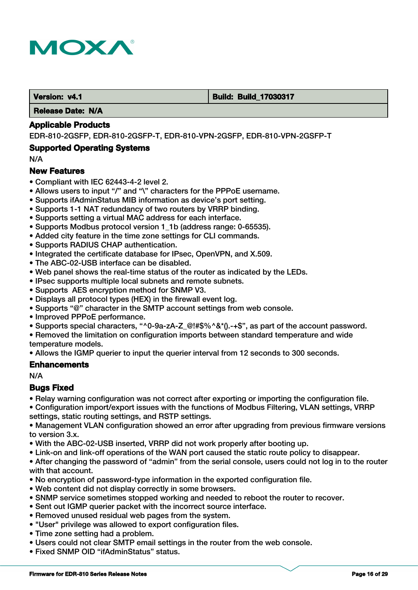

#### **Version: v4.1 Build: Build: Build: 17030317**

 **Release Date: N/A**

#### **Applicable Products**

EDR-810-2GSFP, EDR-810-2GSFP-T, EDR-810-VPN-2GSFP, EDR-810-VPN-2GSFP-T

#### **Supported Operating Systems**

N/A

#### **New Features**

- Compliant with IEC 62443-4-2 level 2.
- Allows users to input "/" and "\" characters for the PPPoE username.
- Supports ifAdminStatus MIB information as device's port setting.
- Supports 1-1 NAT redundancy of two routers by VRRP binding.
- Supports setting a virtual MAC address for each interface.
- Supports Modbus protocol version 1\_1b (address range: 0-65535).
- Added city feature in the time zone settings for CLI commands.
- Supports RADIUS CHAP authentication.
- Integrated the certificate database for IPsec, OpenVPN, and X.509.
- The ABC-02-USB interface can be disabled.
- Web panel shows the real-time status of the router as indicated by the LEDs.
- IPsec supports multiple local subnets and remote subnets.
- Supports AES encryption method for SNMP V3.
- Displays all protocol types (HEX) in the firewall event log.
- Supports "@" character in the SMTP account settings from web console.
- Improved PPPoE performance.
- Supports special characters, "^0-9a-zA-Z @!#\$%^&\*().-+\$", as part of the account password.
- Removed the limitation on configuration imports between standard temperature and wide temperature models.

• Allows the IGMP querier to input the querier interval from 12 seconds to 300 seconds.

#### **Enhancements**

N/A

#### **Bugs Fixed**

- Relay warning configuration was not correct after exporting or importing the configuration file.
- Configuration import/export issues with the functions of Modbus Filtering, VLAN settings, VRRP settings, static routing settings, and RSTP settings.

• Management VLAN configuration showed an error after upgrading from previous firmware versions to version 3.x.

- With the ABC-02-USB inserted, VRRP did not work properly after booting up.
- Link-on and link-off operations of the WAN port caused the static route policy to disappear.

• After changing the password of "admin" from the serial console, users could not log in to the router with that account.

- No encryption of password-type information in the exported configuration file.
- Web content did not display correctly in some browsers.
- SNMP service sometimes stopped working and needed to reboot the router to recover.
- Sent out IGMP querier packet with the incorrect source interface.
- Removed unused residual web pages from the system.
- "User" privilege was allowed to export configuration files.
- Time zone setting had a problem.
- Users could not clear SMTP email settings in the router from the web console.
- Fixed SNMP OID "ifAdminStatus" status.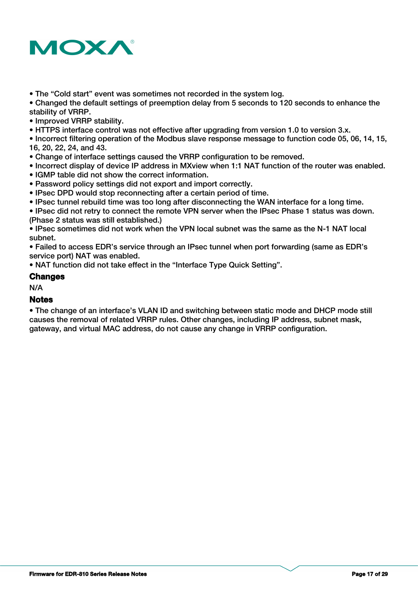

• The "Cold start" event was sometimes not recorded in the system log.

• Changed the default settings of preemption delay from 5 seconds to 120 seconds to enhance the stability of VRRP.

• Improved VRRP stability.

• HTTPS interface control was not effective after upgrading from version 1.0 to version 3.x.

• Incorrect filtering operation of the Modbus slave response message to function code 05, 06, 14, 15, 16, 20, 22, 24, and 43.

- Change of interface settings caused the VRRP configuration to be removed.
- Incorrect display of device IP address in MXview when 1:1 NAT function of the router was enabled.
- IGMP table did not show the correct information.
- Password policy settings did not export and import correctly.
- IPsec DPD would stop reconnecting after a certain period of time.
- IPsec tunnel rebuild time was too long after disconnecting the WAN interface for a long time.

• IPsec did not retry to connect the remote VPN server when the IPsec Phase 1 status was down. (Phase 2 status was still established.)

• IPsec sometimes did not work when the VPN local subnet was the same as the N-1 NAT local subnet.

• Failed to access EDR's service through an IPsec tunnel when port forwarding (same as EDR's service port) NAT was enabled.

• NAT function did not take effect in the "Interface Type Quick Setting".

#### **Changes**

N/A

#### **Notes**

• The change of an interface's VLAN ID and switching between static mode and DHCP mode still causes the removal of related VRRP rules. Other changes, including IP address, subnet mask, gateway, and virtual MAC address, do not cause any change in VRRP configuration.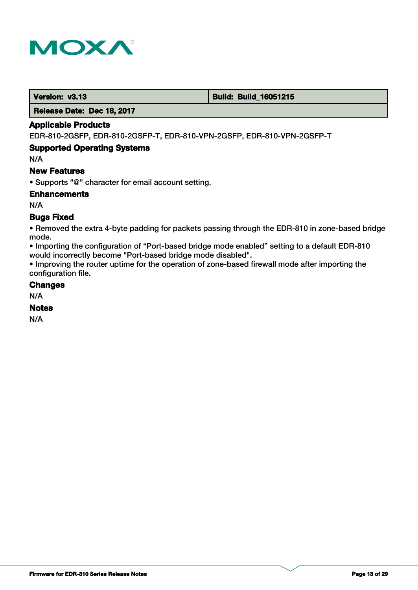

 **Version: v3.13 Build: Build: Build: 16051215** 

 **Release Date: Dec 18, 2017**

## **Applicable Products**

EDR-810-2GSFP, EDR-810-2GSFP-T, EDR-810-VPN-2GSFP, EDR-810-VPN-2GSFP-T

## **Supported Operating Systems**

N/A

#### **New Features**

• Supports "@" character for email account setting.

**Enhancements**

N/A

## **Bugs Fixed**

• Removed the extra 4-byte padding for packets passing through the EDR-810 in zone-based bridge mode.

• Importing the configuration of "Port-based bridge mode enabled" setting to a default EDR-810 would incorrectly become "Port-based bridge mode disabled".

• Improving the router uptime for the operation of zone-based firewall mode after importing the configuration file.

#### **Changes**

N/A

### **Notes**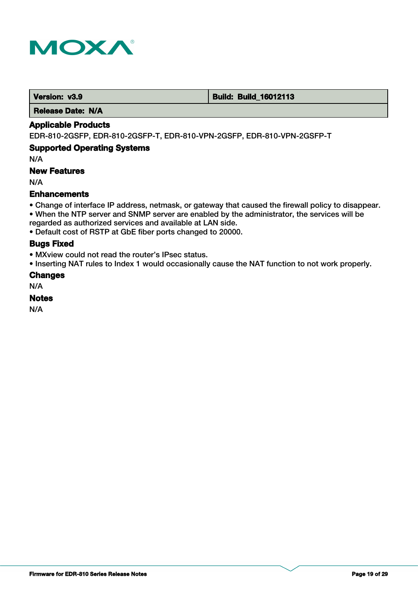

 **Version: v3.9 <b>Build: Build: Build: Build: 16012113** 

 **Release Date: N/A**

### **Applicable Products**

EDR-810-2GSFP, EDR-810-2GSFP-T, EDR-810-VPN-2GSFP, EDR-810-VPN-2GSFP-T

## **Supported Operating Systems**

N/A

## **New Features**

N/A

## **Enhancements**

- Change of interface IP address, netmask, or gateway that caused the firewall policy to disappear.
- When the NTP server and SNMP server are enabled by the administrator, the services will be
- regarded as authorized services and available at LAN side.
- Default cost of RSTP at GbE fiber ports changed to 20000.

## **Bugs Fixed**

- MXview could not read the router's IPsec status.
- Inserting NAT rules to Index 1 would occasionally cause the NAT function to not work properly.

## **Changes**

N/A

## **Notes**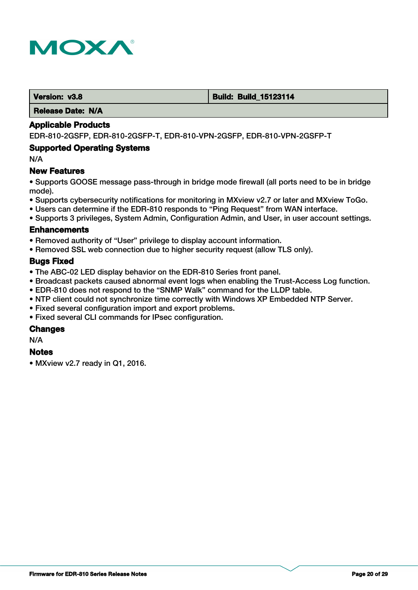

#### **Version: v3.8 Build: Build: Build: Build: 15123114**

 **Release Date: N/A**

#### **Applicable Products**

EDR-810-2GSFP, EDR-810-2GSFP-T, EDR-810-VPN-2GSFP, EDR-810-VPN-2GSFP-T

#### **Supported Operating Systems**

N/A

#### **New Features**

• Supports GOOSE message pass-through in bridge mode firewall (all ports need to be in bridge mode).

- Supports cybersecurity notifications for monitoring in MXview v2.7 or later and MXview ToGo.
- Users can determine if the EDR-810 responds to "Ping Request" from WAN interface.
- Supports 3 privileges, System Admin, Configuration Admin, and User, in user account settings.

#### **Enhancements**

- Removed authority of "User" privilege to display account information.
- Removed SSL web connection due to higher security request (allow TLS only).

#### **Bugs Fixed**

- The ABC-02 LED display behavior on the EDR-810 Series front panel.
- Broadcast packets caused abnormal event logs when enabling the Trust-Access Log function.
- EDR-810 does not respond to the "SNMP Walk" command for the LLDP table.
- NTP client could not synchronize time correctly with Windows XP Embedded NTP Server.
- Fixed several configuration import and export problems.
- Fixed several CLI commands for IPsec configuration.

#### **Changes**

N/A

#### **Notes**

• MXview v2.7 ready in Q1, 2016.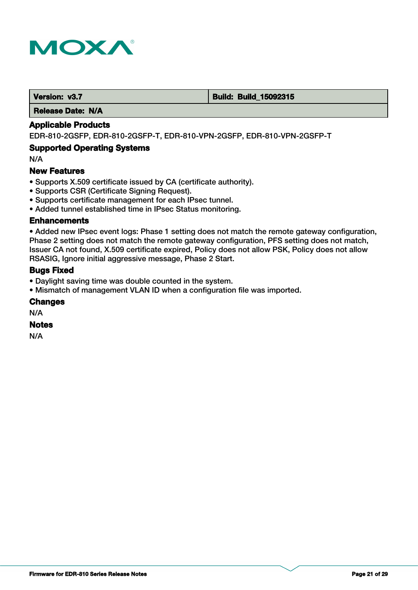

 **Version: v3.7 Build: Build: Build: 15092315** 

 **Release Date: N/A**

## **Applicable Products**

EDR-810-2GSFP, EDR-810-2GSFP-T, EDR-810-VPN-2GSFP, EDR-810-VPN-2GSFP-T

#### **Supported Operating Systems**

N/A

#### **New Features**

- Supports X.509 certificate issued by CA (certificate authority).
- Supports CSR (Certificate Signing Request).
- Supports certificate management for each IPsec tunnel.
- Added tunnel established time in IPsec Status monitoring.

#### **Enhancements**

• Added new IPsec event logs: Phase 1 setting does not match the remote gateway configuration, Phase 2 setting does not match the remote gateway configuration, PFS setting does not match, Issuer CA not found, X.509 certificate expired, Policy does not allow PSK, Policy does not allow RSASIG, Ignore initial aggressive message, Phase 2 Start.

#### **Bugs Fixed**

- Daylight saving time was double counted in the system.
- Mismatch of management VLAN ID when a configuration file was imported.

#### **Changes**

N/A

## **Notes**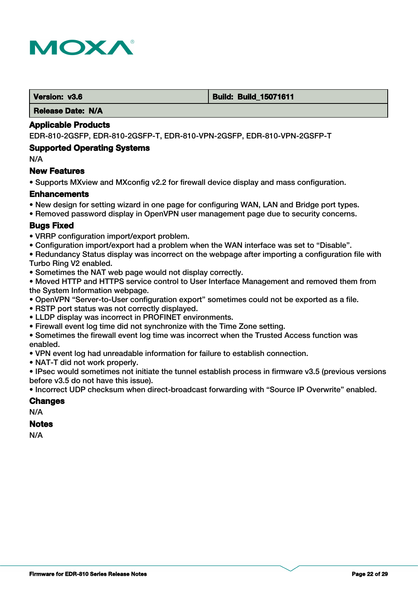

#### **Version: v3.6 Build: Build: Build: Build: 15071611**

 **Release Date: N/A**

#### **Applicable Products**

EDR-810-2GSFP, EDR-810-2GSFP-T, EDR-810-VPN-2GSFP, EDR-810-VPN-2GSFP-T

#### **Supported Operating Systems**

N/A

#### **New Features**

• Supports MXview and MXconfig v2.2 for firewall device display and mass configuration.

#### **Enhancements**

- New design for setting wizard in one page for configuring WAN, LAN and Bridge port types.
- Removed password display in OpenVPN user management page due to security concerns.

#### **Bugs Fixed**

- VRRP configuration import/export problem.
- Configuration import/export had a problem when the WAN interface was set to "Disable".
- Redundancy Status display was incorrect on the webpage after importing a configuration file with Turbo Ring V2 enabled.
- Sometimes the NAT web page would not display correctly.

• Moved HTTP and HTTPS service control to User Interface Management and removed them from the System Information webpage.

- OpenVPN "Server-to-User configuration export" sometimes could not be exported as a file.
- RSTP port status was not correctly displayed.
- LLDP display was incorrect in PROFINET environments.
- Firewall event log time did not synchronize with the Time Zone setting.
- Sometimes the firewall event log time was incorrect when the Trusted Access function was enabled.
- VPN event log had unreadable information for failure to establish connection.
- NAT-T did not work properly.

• IPsec would sometimes not initiate the tunnel establish process in firmware v3.5 (previous versions before v3.5 do not have this issue).

• Incorrect UDP checksum when direct-broadcast forwarding with "Source IP Overwrite" enabled.

#### **Changes**

N/A

#### **Notes**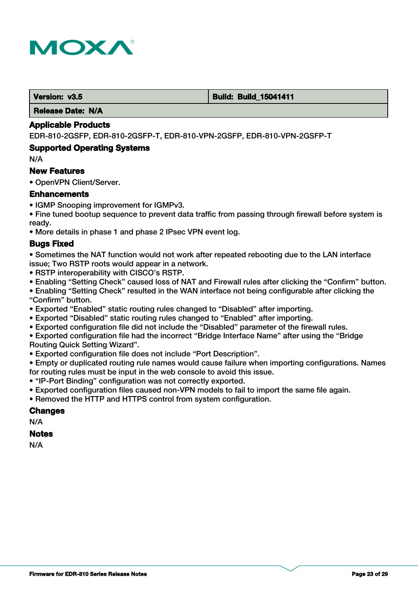

#### **Version: v3.5 Build: Build: Build: Build: Build: Build: Build: Build: Build: Build: Build: 15041411**

 **Release Date: N/A**

#### **Applicable Products**

EDR-810-2GSFP, EDR-810-2GSFP-T, EDR-810-VPN-2GSFP, EDR-810-VPN-2GSFP-T

#### **Supported Operating Systems**

N/A

#### **New Features**

• OpenVPN Client/Server.

#### **Enhancements**

- IGMP Snooping improvement for IGMPv3.
- Fine tuned bootup sequence to prevent data traffic from passing through firewall before system is ready.
- More details in phase 1 and phase 2 IPsec VPN event log.

#### **Bugs Fixed**

- Sometimes the NAT function would not work after repeated rebooting due to the LAN interface issue; Two RSTP roots would appear in a network.
- RSTP interoperability with CISCO's RSTP.
- Enabling "Setting Check" caused loss of NAT and Firewall rules after clicking the "Confirm" button.

• Enabling "Setting Check" resulted in the WAN interface not being configurable after clicking the "Confirm" button.

- Exported "Enabled" static routing rules changed to "Disabled" after importing.
- Exported "Disabled" static routing rules changed to "Enabled" after importing.
- Exported configuration file did not include the "Disabled" parameter of the firewall rules.
- Exported configuration file had the incorrect "Bridge Interface Name" after using the "Bridge
- Routing Quick Setting Wizard".
- Exported configuration file does not include "Port Description".

• Empty or duplicated routing rule names would cause failure when importing configurations. Names for routing rules must be input in the web console to avoid this issue.

- "IP-Port Binding" configuration was not correctly exported.
- Exported configuration files caused non-VPN models to fail to import the same file again.
- Removed the HTTP and HTTPS control from system configuration.

## **Changes**

N/A

## **Notes**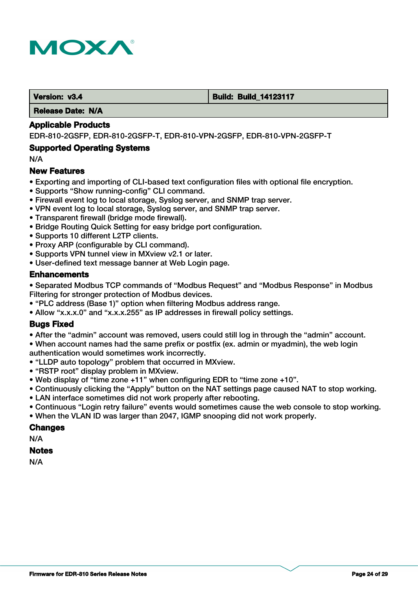

#### **Version: v3.4 Build: Build: Build: 14123117**

 **Release Date: N/A**

#### **Applicable Products**

EDR-810-2GSFP, EDR-810-2GSFP-T, EDR-810-VPN-2GSFP, EDR-810-VPN-2GSFP-T

#### **Supported Operating Systems**

N/A

#### **New Features**

- Exporting and importing of CLI-based text configuration files with optional file encryption.
- Supports "Show running-config" CLI command.
- Firewall event log to local storage, Syslog server, and SNMP trap server.
- VPN event log to local storage, Syslog server, and SNMP trap server.
- Transparent firewall (bridge mode firewall).
- Bridge Routing Quick Setting for easy bridge port configuration.
- Supports 10 different L2TP clients.
- Proxy ARP (configurable by CLI command).
- Supports VPN tunnel view in MXview v2.1 or later.
- User-defined text message banner at Web Login page.

#### **Enhancements**

• Separated Modbus TCP commands of "Modbus Request" and "Modbus Response" in Modbus Filtering for stronger protection of Modbus devices.

- "PLC address (Base 1)" option when filtering Modbus address range.
- Allow "x.x.x.0" and "x.x.x.255" as IP addresses in firewall policy settings.

## **Bugs Fixed**

• After the "admin" account was removed, users could still log in through the "admin" account. • When account names had the same prefix or postfix (ex. admin or myadmin), the web login authentication would sometimes work incorrectly.

- "LLDP auto topology" problem that occurred in MXview.
- "RSTP root" display problem in MXview.
- Web display of "time zone +11" when configuring EDR to "time zone +10".
- Continuously clicking the "Apply" button on the NAT settings page caused NAT to stop working.
- LAN interface sometimes did not work properly after rebooting.
- Continuous "Login retry failure" events would sometimes cause the web console to stop working.
- When the VLAN ID was larger than 2047, IGMP snooping did not work properly.

#### **Changes**

N/A

#### **Notes**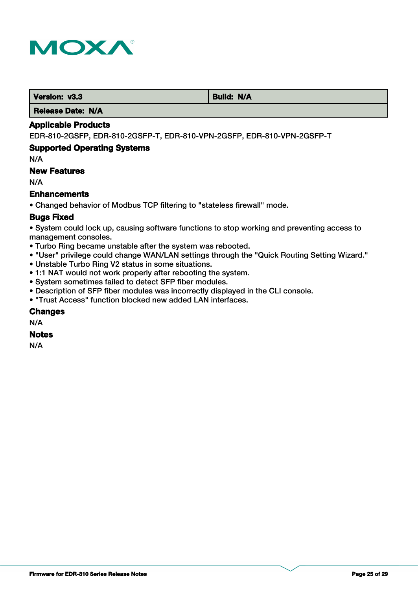

**Version: v3.3 Build: N/A** 

 **Release Date: N/A**

### **Applicable Products**

EDR-810-2GSFP, EDR-810-2GSFP-T, EDR-810-VPN-2GSFP, EDR-810-VPN-2GSFP-T

## **Supported Operating Systems**

N/A

## **New Features**

N/A

## **Enhancements**

• Changed behavior of Modbus TCP filtering to "stateless firewall" mode.

## **Bugs Fixed**

• System could lock up, causing software functions to stop working and preventing access to management consoles.

- Turbo Ring became unstable after the system was rebooted.
- "User" privilege could change WAN/LAN settings through the "Quick Routing Setting Wizard."
- Unstable Turbo Ring V2 status in some situations.
- 1:1 NAT would not work properly after rebooting the system.
- System sometimes failed to detect SFP fiber modules.
- Description of SFP fiber modules was incorrectly displayed in the CLI console.
- "Trust Access" function blocked new added LAN interfaces.

## **Changes**

N/A

## **Notes**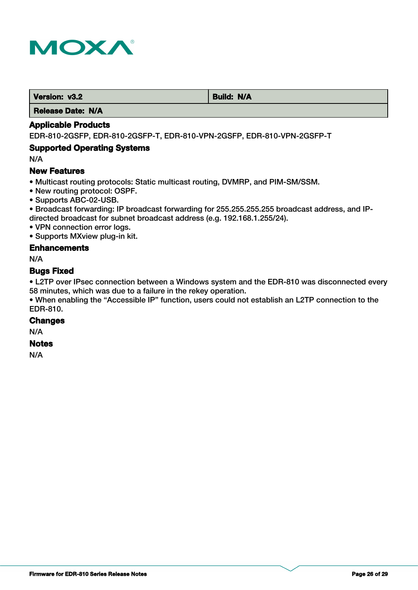

**Version: v3.2 Build: N/A** 

 **Release Date: N/A**

## **Applicable Products**

EDR-810-2GSFP, EDR-810-2GSFP-T, EDR-810-VPN-2GSFP, EDR-810-VPN-2GSFP-T

## **Supported Operating Systems**

N/A

## **New Features**

• Multicast routing protocols: Static multicast routing, DVMRP, and PIM-SM/SSM.

- New routing protocol: OSPF.
- Supports ABC-02-USB.

• Broadcast forwarding: IP broadcast forwarding for 255.255.255.255 broadcast address, and IPdirected broadcast for subnet broadcast address (e.g. 192.168.1.255/24).

• VPN connection error logs.

• Supports MXview plug-in kit.

## **Enhancements**

N/A

#### **Bugs Fixed**

• L2TP over IPsec connection between a Windows system and the EDR-810 was disconnected every 58 minutes, which was due to a failure in the rekey operation.

• When enabling the "Accessible IP" function, users could not establish an L2TP connection to the EDR-810.

#### **Changes**

N/A

#### **Notes**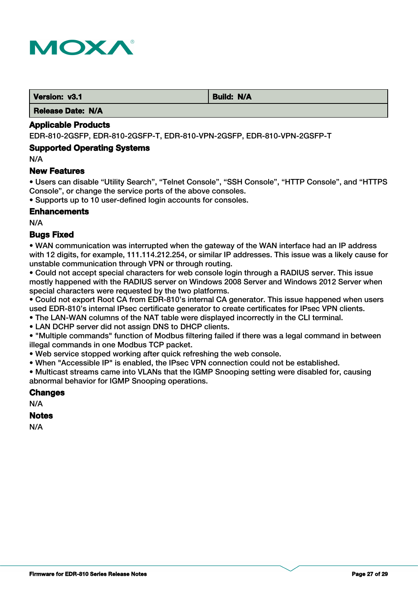

 **Version: v3.1 Build: N/A** 

 **Release Date: N/A**

## **Applicable Products**

EDR-810-2GSFP, EDR-810-2GSFP-T, EDR-810-VPN-2GSFP, EDR-810-VPN-2GSFP-T

#### **Supported Operating Systems**

N/A

#### **New Features**

• Users can disable "Utility Search", "Telnet Console", "SSH Console", "HTTP Console", and "HTTPS Console", or change the service ports of the above consoles.

• Supports up to 10 user-defined login accounts for consoles.

#### **Enhancements**

N/A

## **Bugs Fixed**

• WAN communication was interrupted when the gateway of the WAN interface had an IP address with 12 digits, for example, 111.114.212.254, or similar IP addresses. This issue was a likely cause for unstable communication through VPN or through routing.

• Could not accept special characters for web console login through a RADIUS server. This issue mostly happened with the RADIUS server on Windows 2008 Server and Windows 2012 Server when special characters were requested by the two platforms.

• Could not export Root CA from EDR-810's internal CA generator. This issue happened when users used EDR-810's internal IPsec certificate generator to create certificates for IPsec VPN clients.

• The LAN-WAN columns of the NAT table were displayed incorrectly in the CLI terminal.

• LAN DCHP server did not assign DNS to DHCP clients.

• "Multiple commands" function of Modbus filtering failed if there was a legal command in between illegal commands in one Modbus TCP packet.

• Web service stopped working after quick refreshing the web console.

• When "Accessible IP" is enabled, the IPsec VPN connection could not be established.

• Multicast streams came into VLANs that the IGMP Snooping setting were disabled for, causing abnormal behavior for IGMP Snooping operations.

#### **Changes**

N/A

#### **Notes**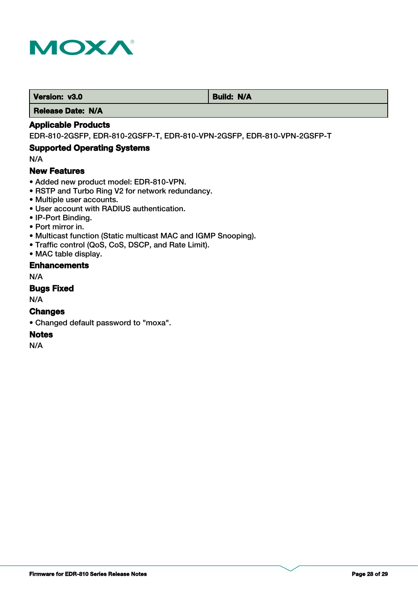

**Version: v3.0** Build: N/A

 **Release Date: N/A**

## **Applicable Products**

EDR-810-2GSFP, EDR-810-2GSFP-T, EDR-810-VPN-2GSFP, EDR-810-VPN-2GSFP-T

## **Supported Operating Systems**

N/A

#### **New Features**

- Added new product model: EDR-810-VPN.
- RSTP and Turbo Ring V2 for network redundancy.
- Multiple user accounts.
- User account with RADIUS authentication.
- IP-Port Binding.
- Port mirror in.
- Multicast function (Static multicast MAC and IGMP Snooping).
- Traffic control (QoS, CoS, DSCP, and Rate Limit).
- MAC table display.

## **Enhancements**

N/A

## **Bugs Fixed**

N/A

#### **Changes**

• Changed default password to "moxa".

#### **Notes**